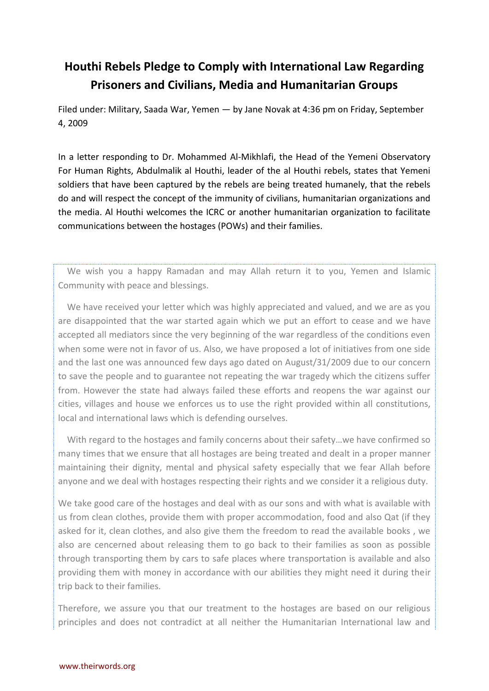## **Houthi Rebels Pledge to Comply with International Law Regarding Prisoners and Civilians, Media and Humanitarian Groups**

Filed under: Military, Saada War, Yemen — by Jane Novak at 4:36 pm on Friday, September 4, 2009

In a letter responding to Dr. Mohammed Al-Mikhlafi, the Head of the Yemeni Observatory For Human Rights, Abdulmalik al Houthi, leader of the al Houthi rebels, states that Yemeni soldiers that have been captured by the rebels are being treated humanely, that the rebels do and will respect the concept of the immunity of civilians, humanitarian organizations and the media. Al Houthi welcomes the ICRC or another humanitarian organization to facilitate communications between the hostages (POWs) and their families.

 We wish you a happy Ramadan and may Allah return it to you, Yemen and Islamic Community with peace and blessings.

 We have received your letter which was highly appreciated and valued, and we are as you are disappointed that the war started again which we put an effort to cease and we have accepted all mediators since the very beginning of the war regardless of the conditions even when some were not in favor of us. Also, we have proposed a lot of initiatives from one side and the last one was announced few days ago dated on August/31/2009 due to our concern to save the people and to guarantee not repeating the war tragedy which the citizens suffer from. However the state had always failed these efforts and reopens the war against our cities, villages and house we enforces us to use the right provided within all constitutions, local and international laws which is defending ourselves.

 With regard to the hostages and family concerns about their safety…we have confirmed so many times that we ensure that all hostages are being treated and dealt in a proper manner maintaining their dignity, mental and physical safety especially that we fear Allah before anyone and we deal with hostages respecting their rights and we consider it a religious duty.

We take good care of the hostages and deal with as our sons and with what is available with us from clean clothes, provide them with proper accommodation, food and also Qat (if they asked for it, clean clothes, and also give them the freedom to read the available books , we also are cencerned about releasing them to go back to their families as soon as possible through transporting them by cars to safe places where transportation is available and also providing them with money in accordance with our abilities they might need it during their trip back to their families.

Therefore, we assure you that our treatment to the hostages are based on our religious principles and does not contradict at all neither the Humanitarian International law and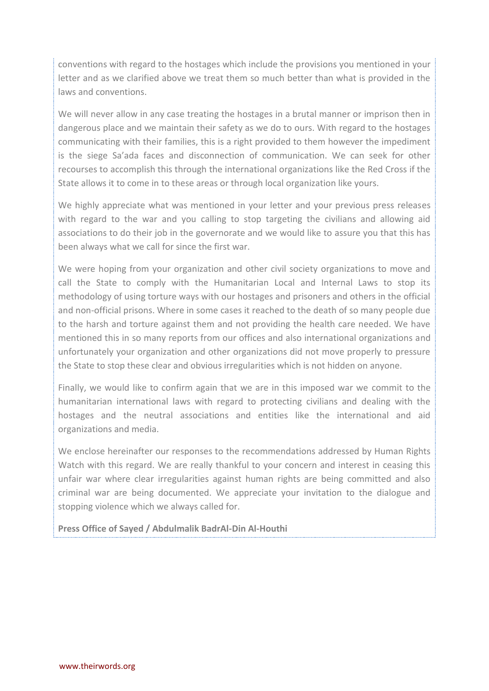conventions with regard to the hostages which include the provisions you mentioned in your letter and as we clarified above we treat them so much better than what is provided in the laws and conventions.

We will never allow in any case treating the hostages in a brutal manner or imprison then in dangerous place and we maintain their safety as we do to ours. With regard to the hostages communicating with their families, this is a right provided to them however the impediment is the siege Sa'ada faces and disconnection of communication. We can seek for other recourses to accomplish this through the international organizations like the Red Cross if the State allows it to come in to these areas or through local organization like yours.

We highly appreciate what was mentioned in your letter and your previous press releases with regard to the war and you calling to stop targeting the civilians and allowing aid associations to do their job in the governorate and we would like to assure you that this has been always what we call for since the first war.

We were hoping from your organization and other civil society organizations to move and call the State to comply with the Humanitarian Local and Internal Laws to stop its methodology of using torture ways with our hostages and prisoners and others in the official and non-official prisons. Where in some cases it reached to the death of so many people due to the harsh and torture against them and not providing the health care needed. We have mentioned this in so many reports from our offices and also international organizations and unfortunately your organization and other organizations did not move properly to pressure the State to stop these clear and obvious irregularities which is not hidden on anyone.

Finally, we would like to confirm again that we are in this imposed war we commit to the humanitarian international laws with regard to protecting civilians and dealing with the hostages and the neutral associations and entities like the international and aid organizations and media.

We enclose hereinafter our responses to the recommendations addressed by Human Rights Watch with this regard. We are really thankful to your concern and interest in ceasing this unfair war where clear irregularities against human rights are being committed and also criminal war are being documented. We appreciate your invitation to the dialogue and stopping violence which we always called for.

**Press Office of Sayed / Abdulmalik BadrAl-Din Al-Houthi**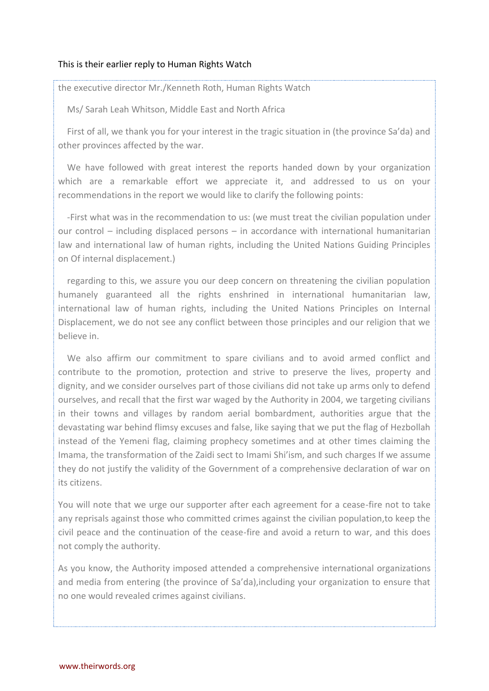## This is their earlier reply to Human Rights Watch

the executive director Mr./Kenneth Roth, Human Rights Watch

Ms/ Sarah Leah Whitson, Middle East and North Africa

 First of all, we thank you for your interest in the tragic situation in (the province Sa'da) and other provinces affected by the war.

 We have followed with great interest the reports handed down by your organization which are a remarkable effort we appreciate it, and addressed to us on your recommendations in the report we would like to clarify the following points:

 -First what was in the recommendation to us: (we must treat the civilian population under our control – including displaced persons – in accordance with international humanitarian law and international law of human rights, including the United Nations Guiding Principles on Of internal displacement.)

 regarding to this, we assure you our deep concern on threatening the civilian population humanely guaranteed all the rights enshrined in international humanitarian law, international law of human rights, including the United Nations Principles on Internal Displacement, we do not see any conflict between those principles and our religion that we believe in.

 We also affirm our commitment to spare civilians and to avoid armed conflict and contribute to the promotion, protection and strive to preserve the lives, property and dignity, and we consider ourselves part of those civilians did not take up arms only to defend ourselves, and recall that the first war waged by the Authority in 2004, we targeting civilians in their towns and villages by random aerial bombardment, authorities argue that the devastating war behind flimsy excuses and false, like saying that we put the flag of Hezbollah instead of the Yemeni flag, claiming prophecy sometimes and at other times claiming the Imama, the transformation of the Zaidi sect to Imami Shi'ism, and such charges If we assume they do not justify the validity of the Government of a comprehensive declaration of war on its citizens.

You will note that we urge our supporter after each agreement for a cease-fire not to take any reprisals against those who committed crimes against the civilian population,to keep the civil peace and the continuation of the cease-fire and avoid a return to war, and this does not comply the authority.

As you know, the Authority imposed attended a comprehensive international organizations and media from entering (the province of Sa'da),including your organization to ensure that no one would revealed crimes against civilians.